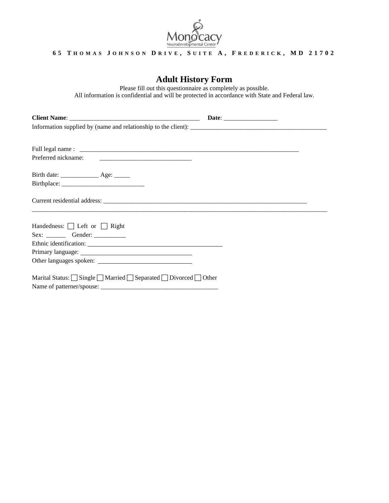

## **6 5 T H O M A S J O H N S O N D R I V E , S U I T E A , F R E D E R I C K , M D 2 1 7 0 2**

# **Adult History Form**

Please fill out this questionnaire as completely as possible. All information is confidential and will be protected in accordance with State and Federal law.

| Information supplied by (name and relationship to the client):                             |  |
|--------------------------------------------------------------------------------------------|--|
|                                                                                            |  |
|                                                                                            |  |
|                                                                                            |  |
|                                                                                            |  |
|                                                                                            |  |
|                                                                                            |  |
| Handedness: $\Box$ Left or $\Box$ Right                                                    |  |
|                                                                                            |  |
|                                                                                            |  |
|                                                                                            |  |
|                                                                                            |  |
| Marital Status: $\Box$ Single $\Box$ Married $\Box$ Separated $\Box$ Divorced $\Box$ Other |  |
|                                                                                            |  |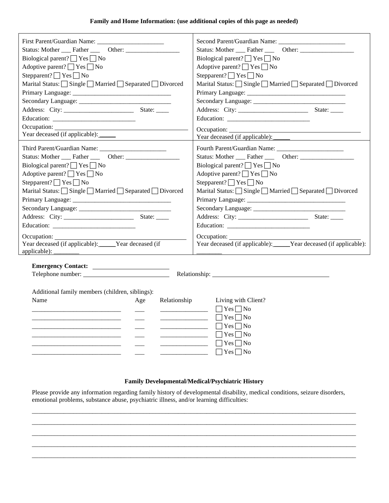### **Family and Home Information: (use additional copies of this page as needed)**

| Biological parent? $\Box$ Yes $\Box$ No                                                                                                                                                                                                                                                                                                                                                                                                                                                                                                                                        | Biological parent? $\Box$ Yes $\Box$ No                             |
|--------------------------------------------------------------------------------------------------------------------------------------------------------------------------------------------------------------------------------------------------------------------------------------------------------------------------------------------------------------------------------------------------------------------------------------------------------------------------------------------------------------------------------------------------------------------------------|---------------------------------------------------------------------|
| Adoptive parent? $\Box$ Yes $\Box$ No                                                                                                                                                                                                                                                                                                                                                                                                                                                                                                                                          | Adoptive parent? $\Box$ Yes $\Box$ No                               |
| Stepparent? $\Box$ Yes $\Box$ No                                                                                                                                                                                                                                                                                                                                                                                                                                                                                                                                               | Stepparent? $\Box$ Yes $\Box$ No                                    |
| Marital Status: Single Married Separated Divorced                                                                                                                                                                                                                                                                                                                                                                                                                                                                                                                              | Marital Status: Single Married Separated Divorced                   |
|                                                                                                                                                                                                                                                                                                                                                                                                                                                                                                                                                                                |                                                                     |
|                                                                                                                                                                                                                                                                                                                                                                                                                                                                                                                                                                                |                                                                     |
|                                                                                                                                                                                                                                                                                                                                                                                                                                                                                                                                                                                |                                                                     |
|                                                                                                                                                                                                                                                                                                                                                                                                                                                                                                                                                                                |                                                                     |
| Occupation:                                                                                                                                                                                                                                                                                                                                                                                                                                                                                                                                                                    |                                                                     |
|                                                                                                                                                                                                                                                                                                                                                                                                                                                                                                                                                                                |                                                                     |
|                                                                                                                                                                                                                                                                                                                                                                                                                                                                                                                                                                                |                                                                     |
|                                                                                                                                                                                                                                                                                                                                                                                                                                                                                                                                                                                |                                                                     |
|                                                                                                                                                                                                                                                                                                                                                                                                                                                                                                                                                                                |                                                                     |
| Biological parent? $\Box$ Yes $\Box$ No                                                                                                                                                                                                                                                                                                                                                                                                                                                                                                                                        | Biological parent? $\Box$ Yes $\Box$ No                             |
| Adoptive parent? $\Box$ Yes $\Box$ No                                                                                                                                                                                                                                                                                                                                                                                                                                                                                                                                          | Adoptive parent? $\Box$ Yes $\Box$ No                               |
| Stepparent? $\Box$ Yes $\Box$ No                                                                                                                                                                                                                                                                                                                                                                                                                                                                                                                                               | Stepparent? $\Box$ Yes $\Box$ No                                    |
| Marital Status: Single Married Separated Divorced                                                                                                                                                                                                                                                                                                                                                                                                                                                                                                                              | Marital Status: Single Married Separated Divorced                   |
|                                                                                                                                                                                                                                                                                                                                                                                                                                                                                                                                                                                |                                                                     |
|                                                                                                                                                                                                                                                                                                                                                                                                                                                                                                                                                                                |                                                                     |
|                                                                                                                                                                                                                                                                                                                                                                                                                                                                                                                                                                                |                                                                     |
|                                                                                                                                                                                                                                                                                                                                                                                                                                                                                                                                                                                |                                                                     |
| Occupation:                                                                                                                                                                                                                                                                                                                                                                                                                                                                                                                                                                    | Occupation:                                                         |
| Year deceased (if applicable): Vear deceased (if                                                                                                                                                                                                                                                                                                                                                                                                                                                                                                                               | Year deceased (if applicable): _____ Year deceased (if applicable): |
|                                                                                                                                                                                                                                                                                                                                                                                                                                                                                                                                                                                |                                                                     |
|                                                                                                                                                                                                                                                                                                                                                                                                                                                                                                                                                                                |                                                                     |
|                                                                                                                                                                                                                                                                                                                                                                                                                                                                                                                                                                                |                                                                     |
|                                                                                                                                                                                                                                                                                                                                                                                                                                                                                                                                                                                |                                                                     |
|                                                                                                                                                                                                                                                                                                                                                                                                                                                                                                                                                                                |                                                                     |
| Additional family members (children, siblings):                                                                                                                                                                                                                                                                                                                                                                                                                                                                                                                                |                                                                     |
| Relationship<br>Name<br>Age                                                                                                                                                                                                                                                                                                                                                                                                                                                                                                                                                    | Living with Client?                                                 |
|                                                                                                                                                                                                                                                                                                                                                                                                                                                                                                                                                                                | $\Box$ Yes $\Box$ No                                                |
| $\begin{tabular}{ccccc} \multicolumn{2}{c }{\textbf{1} & \multicolumn{2}{c }{\textbf{2} & \multicolumn{2}{c }{\textbf{3} & \multicolumn{2}{c }{\textbf{4} & \multicolumn{2}{c }{\textbf{5} & \multicolumn{2}{c }{\textbf{6} & \multicolumn{2}{c }{\textbf{6} & \multicolumn{2}{c }{\textbf{6} & \multicolumn{2}{c }{\textbf{6} & \multicolumn{2}{c }{\textbf{6} & \multicolumn{2}{c }{\textbf{6} & \multicolumn{2}{c }{\textbf{6} & \multicolumn{2}{$<br><u> 1989 - Johann Barbara, martin da kasar Amerikaansk politiker (</u>                                                | $\Box$ Yes $\Box$ No                                                |
|                                                                                                                                                                                                                                                                                                                                                                                                                                                                                                                                                                                | $\Box$ Yes $\Box$ No                                                |
| $\begin{tabular}{ccccc} \multicolumn{2}{c }{\textbf{1} & \multicolumn{2}{c }{\textbf{2} & \multicolumn{2}{c }{\textbf{3} & \multicolumn{2}{c }{\textbf{4} & \multicolumn{2}{c }{\textbf{5} & \multicolumn{2}{c }{\textbf{6} & \multicolumn{2}{c }{\textbf{6} & \multicolumn{2}{c }{\textbf{6} & \multicolumn{2}{c }{\textbf{6} & \multicolumn{2}{c }{\textbf{6} & \multicolumn{2}{c }{\textbf{6} & \multicolumn{2}{c }{\textbf{6} & \multicolumn{2}{$<br><u> 1980 - Jan Barbara, martxa a shekara 1980 - An</u>                                                                | $\Box$ Yes $\Box$ No                                                |
| $\begin{tabular}{ccccc} \multicolumn{2}{c }{\textbf{1} & \multicolumn{2}{c }{\textbf{2} & \multicolumn{2}{c }{\textbf{3} & \multicolumn{2}{c }{\textbf{4} & \multicolumn{2}{c }{\textbf{5} & \multicolumn{2}{c }{\textbf{6} & \multicolumn{2}{c }{\textbf{6} & \multicolumn{2}{c }{\textbf{6} & \multicolumn{2}{c }{\textbf{6} & \multicolumn{2}{c }{\textbf{6} & \multicolumn{2}{c }{\textbf{6} & \multicolumn{2}{c }{\textbf{6} & \multicolumn{2}{$<br><u> 1980 - Jan Bernard Barbara, prima populație de la proprietat de la proprietat de la proprietat de la propriet</u> | $\Box$ Yes $\Box$ No                                                |
|                                                                                                                                                                                                                                                                                                                                                                                                                                                                                                                                                                                | $\Box$ Yes $\Box$ No                                                |

## **Family Developmental/Medical/Psychiatric History**

\_\_\_\_\_\_\_\_\_\_\_\_\_\_\_\_\_\_\_\_\_\_\_\_\_\_\_\_\_\_\_\_\_\_\_\_\_\_\_\_\_\_\_\_\_\_\_\_\_\_\_\_\_\_\_\_\_\_\_\_\_\_\_\_\_\_\_\_\_\_\_\_\_\_\_\_\_\_\_\_\_\_\_\_\_\_\_\_\_\_\_\_\_\_\_\_\_\_\_\_\_\_ \_\_\_\_\_\_\_\_\_\_\_\_\_\_\_\_\_\_\_\_\_\_\_\_\_\_\_\_\_\_\_\_\_\_\_\_\_\_\_\_\_\_\_\_\_\_\_\_\_\_\_\_\_\_\_\_\_\_\_\_\_\_\_\_\_\_\_\_\_\_\_\_\_\_\_\_\_\_\_\_\_\_\_\_\_\_\_\_\_\_\_\_\_\_\_\_\_\_\_\_\_\_ \_\_\_\_\_\_\_\_\_\_\_\_\_\_\_\_\_\_\_\_\_\_\_\_\_\_\_\_\_\_\_\_\_\_\_\_\_\_\_\_\_\_\_\_\_\_\_\_\_\_\_\_\_\_\_\_\_\_\_\_\_\_\_\_\_\_\_\_\_\_\_\_\_\_\_\_\_\_\_\_\_\_\_\_\_\_\_\_\_\_\_\_\_\_\_\_\_\_\_\_\_\_ \_\_\_\_\_\_\_\_\_\_\_\_\_\_\_\_\_\_\_\_\_\_\_\_\_\_\_\_\_\_\_\_\_\_\_\_\_\_\_\_\_\_\_\_\_\_\_\_\_\_\_\_\_\_\_\_\_\_\_\_\_\_\_\_\_\_\_\_\_\_\_\_\_\_\_\_\_\_\_\_\_\_\_\_\_\_\_\_\_\_\_\_\_\_\_\_\_\_\_\_\_\_ \_\_\_\_\_\_\_\_\_\_\_\_\_\_\_\_\_\_\_\_\_\_\_\_\_\_\_\_\_\_\_\_\_\_\_\_\_\_\_\_\_\_\_\_\_\_\_\_\_\_\_\_\_\_\_\_\_\_\_\_\_\_\_\_\_\_\_\_\_\_\_\_\_\_\_\_\_\_\_\_\_\_\_\_\_\_\_\_\_\_\_\_\_\_\_\_\_\_\_\_\_\_

Please provide any information regarding family history of developmental disability, medical conditions, seizure disorders, emotional problems, substance abuse, psychiatric illness, and/or learning difficulties: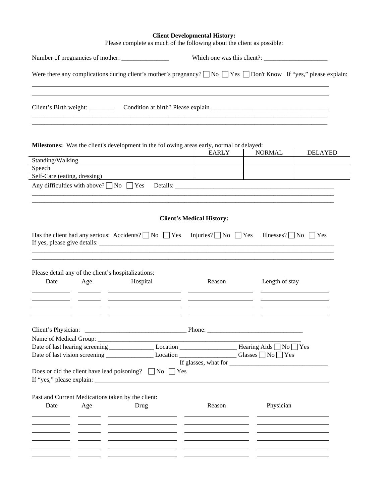#### **Client Developmental History:**

Please complete as much of the following about the client as possible:

|        |                                                            | Were there any complications during client's mother's pregnancy? ■ No ■ Yes ■ Don't Know If "yes," please explain:<br><u> 1989 - John Stone, amerikansk politiker (d. 1989)</u>                              |                                                                                                                                                                                                                                      |                                                         |                                                     |
|--------|------------------------------------------------------------|--------------------------------------------------------------------------------------------------------------------------------------------------------------------------------------------------------------|--------------------------------------------------------------------------------------------------------------------------------------------------------------------------------------------------------------------------------------|---------------------------------------------------------|-----------------------------------------------------|
|        | Client's Birth weight: _________                           |                                                                                                                                                                                                              |                                                                                                                                                                                                                                      |                                                         |                                                     |
|        |                                                            | <b>Milestones:</b> Was the client's development in the following areas early, normal or delayed:                                                                                                             | <b>EARLY</b>                                                                                                                                                                                                                         | NORMAL                                                  | <b>DELAYED</b>                                      |
|        |                                                            |                                                                                                                                                                                                              |                                                                                                                                                                                                                                      |                                                         |                                                     |
| Speech |                                                            | <u> 1980 - Johann Barn, mars ann an t-Amhain Aonaich an t-Aonaich an t-Aonaich ann an t-Aonaich ann an t-Aonaich</u>                                                                                         |                                                                                                                                                                                                                                      |                                                         |                                                     |
|        |                                                            | Self-Care (eating, dressing)                                                                                                                                                                                 |                                                                                                                                                                                                                                      | <u> 1989 - Johann Stein, fransk politiker (d. 1989)</u> |                                                     |
|        |                                                            |                                                                                                                                                                                                              |                                                                                                                                                                                                                                      |                                                         |                                                     |
| Date   | Please detail any of the client's hospitalizations:<br>Age | Hospital                                                                                                                                                                                                     | Reason                                                                                                                                                                                                                               | Length of stay                                          | <u> 2008 - Andrea Britain, amerikansk politik (</u> |
|        |                                                            | Date of last hearing screening _____________________Location _______________________Hearing Aids No Yes<br>Date of last vision screening ________________________Location ____________________Glasses No Yes | <u> 1999 - Johann Harry Harry Harry Harry Harry Harry Harry Harry Harry Harry Harry Harry Harry Harry Harry Harry Harry Harry Harry Harry Harry Harry Harry Harry Harry Harry Harry Harry Harry Harry Harry Harry Harry Harry Ha</u> |                                                         |                                                     |
|        |                                                            | Does or did the client have lead poisoning? $\Box$ No $\Box$ Yes                                                                                                                                             |                                                                                                                                                                                                                                      |                                                         |                                                     |
| Date   | Age                                                        | Past and Current Medications taken by the client:<br>Drug                                                                                                                                                    | Reason                                                                                                                                                                                                                               | Physician                                               |                                                     |
|        |                                                            |                                                                                                                                                                                                              |                                                                                                                                                                                                                                      |                                                         |                                                     |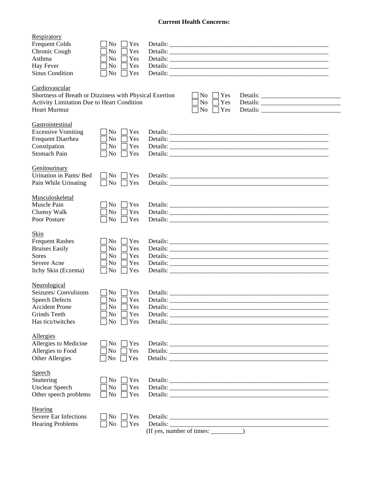### **Current Health Concerns:**

| Respiratory                                             |                              |                                     |           |          |
|---------------------------------------------------------|------------------------------|-------------------------------------|-----------|----------|
| <b>Frequent Colds</b>                                   | No<br>Yes                    |                                     |           |          |
| Chronic Cough                                           | N <sub>0</sub><br>Yes        |                                     |           |          |
| Asthma                                                  | No<br>Yes                    |                                     |           |          |
| Hay Fever                                               | N <sub>0</sub><br>Yes        |                                     |           |          |
| <b>Sinus Condition</b>                                  | No<br>Yes                    |                                     |           |          |
|                                                         |                              |                                     |           |          |
| Cardiovascular                                          |                              |                                     |           |          |
| Shortness of Breath or Dizziness with Physical Exertion |                              |                                     | Yes<br>No |          |
| Activity Limitation Due to Heart Condition              |                              |                                     | No<br>Yes |          |
| <b>Heart Murmur</b>                                     |                              |                                     | No<br>Yes |          |
| Gastrointestinal                                        |                              |                                     |           |          |
| <b>Excessive Vomiting</b>                               | No.<br>Yes                   |                                     |           |          |
| Frequent Diarrhea                                       | Yes<br>No                    |                                     |           |          |
| Constipation                                            | No<br>Yes                    |                                     |           |          |
| <b>Stomach Pain</b>                                     | N <sub>o</sub><br>$\Box$ Yes |                                     |           |          |
|                                                         |                              |                                     |           |          |
| Genitourinary                                           |                              |                                     |           |          |
| Urination in Pants/ Bed                                 | No<br>Yes                    |                                     |           | Details: |
| Pain While Urinating                                    | No<br>Yes                    |                                     |           |          |
|                                                         |                              |                                     |           |          |
| Musculoskeletal                                         |                              |                                     |           |          |
| Muscle Pain                                             | Yes<br>N <sub>0</sub>        |                                     |           |          |
| Clumsy Walk                                             | N <sub>o</sub><br>Yes        |                                     |           | Details: |
| Poor Posture                                            | N <sub>o</sub><br>Yes        |                                     |           |          |
| Skin                                                    |                              |                                     |           |          |
|                                                         |                              |                                     |           |          |
| <b>Frequent Rashes</b>                                  | No<br>Yes                    |                                     |           |          |
| <b>Bruises Easily</b>                                   | N <sub>0</sub><br>Yes        |                                     |           |          |
| <b>Sores</b>                                            | Yes<br>No                    |                                     |           |          |
| Severe Acne                                             | Yes<br>No                    |                                     |           |          |
| Itchy Skin (Eczema)                                     | Yes<br>No                    |                                     |           |          |
| Neurological                                            |                              |                                     |           |          |
| Seizures/Convulsions                                    | Yes<br>N <sub>0</sub>        |                                     |           |          |
| <b>Speech Defects</b>                                   | No<br>Yes                    |                                     |           |          |
| <b>Accident Prone</b>                                   | No<br>Yes                    |                                     |           |          |
| Grinds Teeth                                            |                              |                                     |           |          |
|                                                         | No<br>Yes                    |                                     |           |          |
| Has tics/twitches                                       | N <sub>0</sub><br>$\Box$ Yes |                                     |           |          |
| Allergies                                               |                              |                                     |           |          |
| Allergies to Medicine                                   | No<br>Yes                    |                                     |           |          |
| Allergies to Food                                       | Yes<br>No                    |                                     |           |          |
| Other Allergies                                         | Yes<br>N <sub>o</sub>        |                                     |           |          |
|                                                         |                              |                                     |           |          |
| Speech                                                  |                              |                                     |           |          |
| Stuttering                                              | Yes<br>No                    |                                     |           |          |
| <b>Unclear Speech</b>                                   | No<br>Yes                    |                                     |           |          |
| Other speech problems                                   | N <sub>o</sub><br>Yes        |                                     |           |          |
|                                                         |                              |                                     |           |          |
| Hearing                                                 |                              |                                     |           |          |
| <b>Severe Ear Infections</b>                            | Yes<br>N <sub>0</sub>        |                                     |           |          |
| <b>Hearing Problems</b>                                 | Yes<br>No.                   |                                     |           |          |
|                                                         |                              | $($ If yes, number of times: $\_\_$ |           |          |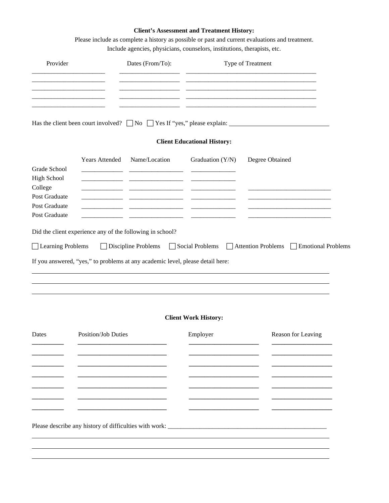## **Client's Assessment and Treatment History:**

Please include as complete a history as possible or past and current evaluations and treatment. Include agencies, physicians, counselors, institutions, therapists, etc.

| Provider                                                        |                       | Dates (From/To):                                                                                                |                                    | Type of Treatment                                                                         |
|-----------------------------------------------------------------|-----------------------|-----------------------------------------------------------------------------------------------------------------|------------------------------------|-------------------------------------------------------------------------------------------|
| the contract of the contract of the contract of the contract of |                       |                                                                                                                 |                                    |                                                                                           |
|                                                                 |                       |                                                                                                                 |                                    | Has the client been court involved? $\Box$ No $\Box$ Yes If "yes," please explain: $\Box$ |
|                                                                 |                       |                                                                                                                 | <b>Client Educational History:</b> |                                                                                           |
|                                                                 | <b>Years Attended</b> | Name/Location                                                                                                   | Graduation (Y/N)                   | Degree Obtained                                                                           |
| Grade School                                                    |                       |                                                                                                                 |                                    |                                                                                           |
| High School                                                     |                       |                                                                                                                 |                                    |                                                                                           |
| College<br>Post Graduate                                        |                       |                                                                                                                 |                                    |                                                                                           |
| Post Graduate                                                   |                       |                                                                                                                 |                                    | <u> 1980 - Johann John Stone, markin fizikar (h. 1980).</u>                               |
| Post Graduate                                                   |                       | the contract of the contract of the contract of the contract of the contract of the contract of the contract of |                                    |                                                                                           |
|                                                                 |                       | Did the client experience any of the following in school?                                                       |                                    |                                                                                           |
| Learning Problems                                               |                       | Discipline Problems                                                                                             | $\Box$ Social Problems             | Attention Problems Functional Problems                                                    |
|                                                                 |                       | If you answered, "yes," to problems at any academic level, please detail here:                                  |                                    |                                                                                           |
|                                                                 |                       |                                                                                                                 |                                    |                                                                                           |
|                                                                 |                       |                                                                                                                 |                                    |                                                                                           |
|                                                                 |                       |                                                                                                                 |                                    |                                                                                           |

## **Client Work History:**

| Dates | <b>Position/Job Duties</b> | Employer | Reason for Leaving |
|-------|----------------------------|----------|--------------------|
|       |                            |          |                    |
|       |                            |          |                    |
|       |                            |          |                    |
|       |                            |          |                    |
|       |                            |          |                    |
|       |                            |          |                    |
|       |                            |          |                    |
|       |                            |          |                    |